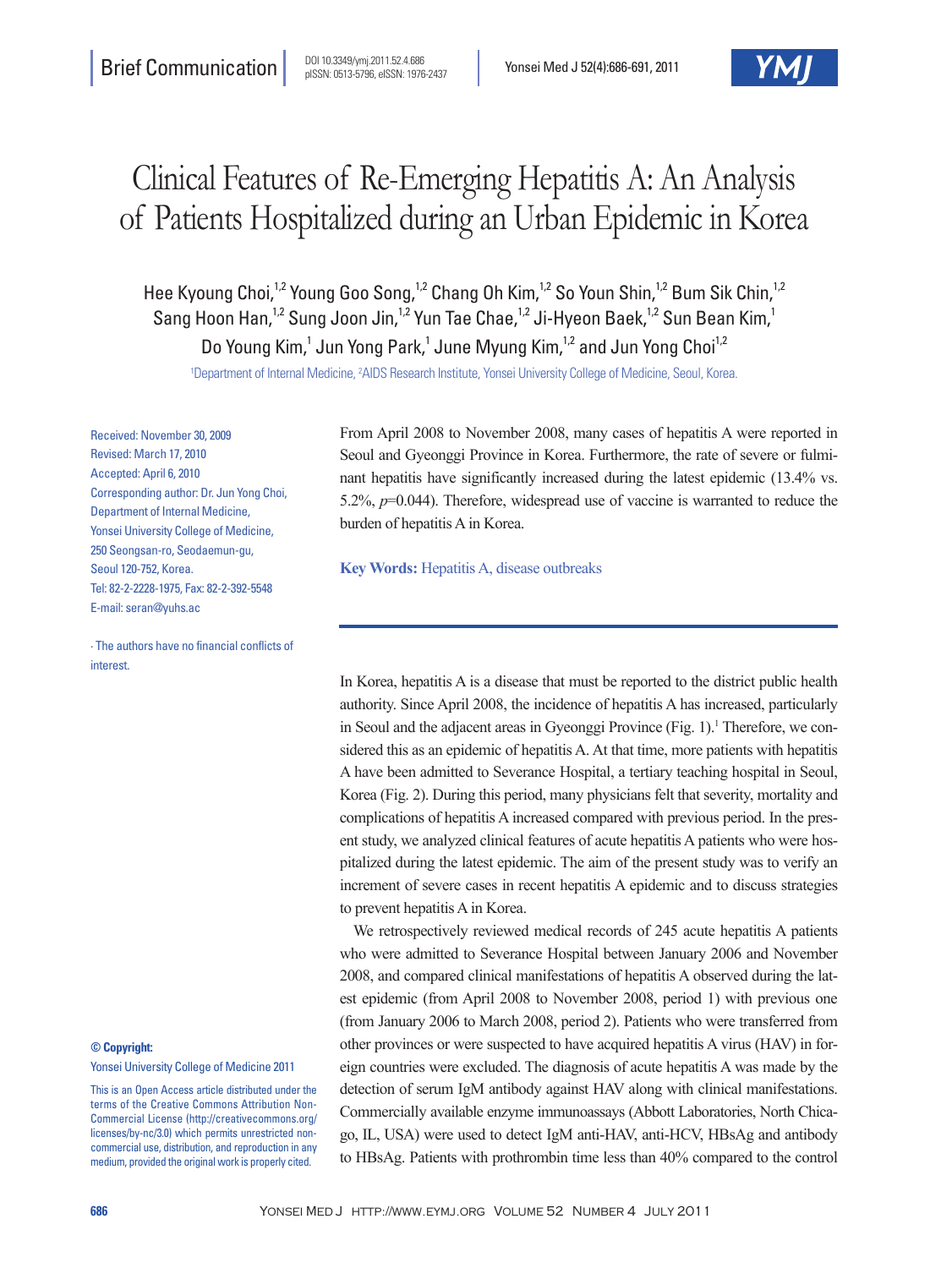# Clinical Features of Re-Emerging Hepatitis A: An Analysis of Patients Hospitalized during an Urban Epidemic in Korea

Hee Kyoung Choi,<sup>1,2</sup> Young Goo Song,<sup>1,2</sup> Chang Oh Kim,<sup>1,2</sup> So Youn Shin,<sup>1,2</sup> Bum Sik Chin,<sup>1,2</sup> Sang Hoon Han,<sup>1,2</sup> Sung Joon Jin,<sup>1,2</sup> Yun Tae Chae,<sup>1,2</sup> Ji-Hyeon Baek,<sup>1,2</sup> Sun Bean Kim,<sup>1</sup> Do Young Kim,<sup>1</sup> Jun Yong Park,<sup>1</sup> June Myung Kim,<sup>1,2</sup> and Jun Yong Choi<sup>1,2</sup>

1 Department of Internal Medicine, 2 AIDS Research Institute, Yonsei University College of Medicine, Seoul, Korea.

Received: November 30, 2009 Revised: March 17, 2010 Accepted: April 6, 2010 Corresponding author: Dr. Jun Yong Choi, Department of Internal Medicine, Yonsei University College of Medicine, 250 Seongsan-ro, Seodaemun-gu, Seoul 120-752, Korea. Tel: 82-2-2228-1975, Fax: 82-2-392-5548 E-mail: seran@yuhs.ac

∙ The authors have no financial conflicts of interest.

#### **© Copyright:**

Yonsei University College of Medicine 2011

This is an Open Access article distributed under the terms of the Creative Commons Attribution Non-Commercial License (http://creativecommons.org/ licenses/by-nc/3.0) which permits unrestricted noncommercial use, distribution, and reproduction in any medium, provided the original work is properly cited.

From April 2008 to November 2008, many cases of hepatitis A were reported in Seoul and Gyeonggi Province in Korea. Furthermore, the rate of severe or fulminant hepatitis have significantly increased during the latest epidemic (13.4% vs. 5.2%, *p*=0.044). Therefore, widespread use of vaccine is warranted to reduce the burden of hepatitis A in Korea.

**Key Words:** Hepatitis A, disease outbreaks

In Korea, hepatitis A is a disease that must be reported to the district public health authority. Since April 2008, the incidence of hepatitis A has increased, particularly in Seoul and the adjacent areas in Gyeonggi Province (Fig. 1).<sup>1</sup> Therefore, we considered this as an epidemic of hepatitis A. At that time, more patients with hepatitis A have been admitted to Severance Hospital, a tertiary teaching hospital in Seoul, Korea (Fig. 2). During this period, many physicians felt that severity, mortality and complications of hepatitis A increased compared with previous period. In the present study, we analyzed clinical features of acute hepatitis A patients who were hospitalized during the latest epidemic. The aim of the present study was to verify an increment of severe cases in recent hepatitis A epidemic and to discuss strategies to prevent hepatitis A in Korea.

We retrospectively reviewed medical records of 245 acute hepatitis A patients who were admitted to Severance Hospital between January 2006 and November 2008, and compared clinical manifestations of hepatitis A observed during the latest epidemic (from April 2008 to November 2008, period 1) with previous one (from January 2006 to March 2008, period 2). Patients who were transferred from other provinces or were suspected to have acquired hepatitis A virus (HAV) in foreign countries were excluded. The diagnosis of acute hepatitis A was made by the detection of serum IgM antibody against HAV along with clinical manifestations. Commercially available enzyme immunoassays (Abbott Laboratories, North Chicago, IL, USA) were used to detect IgM anti-HAV, anti-HCV, HBsAg and antibody to HBsAg. Patients with prothrombin time less than 40% compared to the control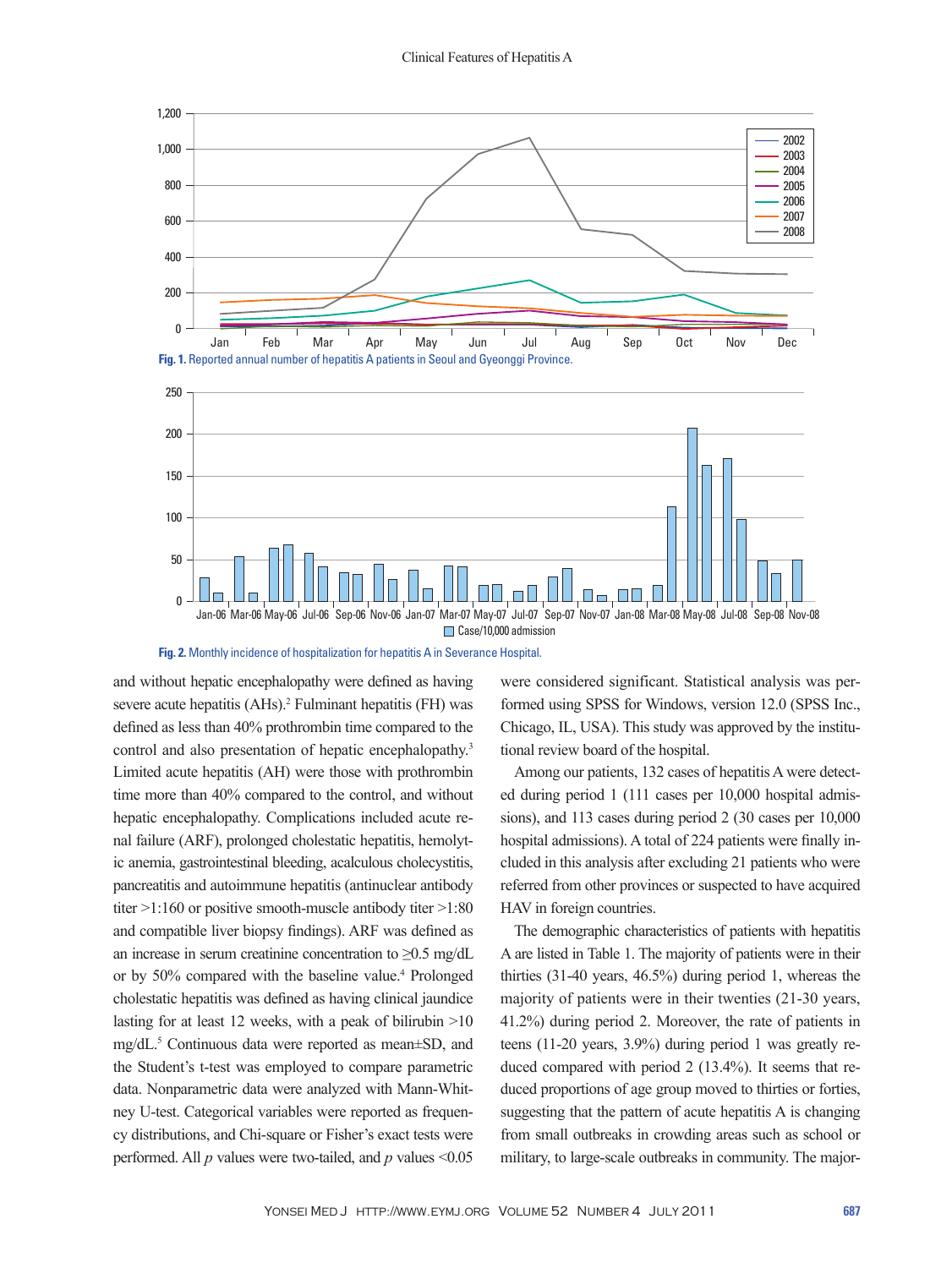



and without hepatic encephalopathy were defined as having severe acute hepatitis (AHs).<sup>2</sup> Fulminant hepatitis (FH) was defined as less than 40% prothrombin time compared to the control and also presentation of hepatic encephalopathy.<sup>3</sup> Limited acute hepatitis (AH) were those with prothrombin time more than 40% compared to the control, and without hepatic encephalopathy. Complications included acute renal failure (ARF), prolonged cholestatic hepatitis, hemolytic anemia, gastrointestinal bleeding, acalculous cholecystitis, pancreatitis and autoimmune hepatitis (antinuclear antibody titer >1:160 or positive smooth-muscle antibody titer >1:80 and compatible liver biopsy findings). ARF was defined as an increase in serum creatinine concentration to  $\geq 0.5$  mg/dL or by 50% compared with the baseline value.4 Prolonged cholestatic hepatitis was defined as having clinical jaundice lasting for at least 12 weeks, with a peak of bilirubin >10 mg/dL.5 Continuous data were reported as mean±SD, and the Student's t-test was employed to compare parametric data. Nonparametric data were analyzed with Mann-Whitney U-test. Categorical variables were reported as frequency distributions, and Chi-square or Fisher's exact tests were performed. All *p* values were two-tailed, and *p* values <0.05

were considered significant. Statistical analysis was performed using SPSS for Windows, version 12.0 (SPSS Inc., Chicago, IL, USA). This study was approved by the institutional review board of the hospital.

Among our patients, 132 cases of hepatitis A were detected during period 1 (111 cases per 10,000 hospital admissions), and 113 cases during period 2 (30 cases per 10,000 hospital admissions). A total of 224 patients were finally included in this analysis after excluding 21 patients who were referred from other provinces or suspected to have acquired HAV in foreign countries.

The demographic characteristics of patients with hepatitis A are listed in Table 1. The majority of patients were in their thirties (31-40 years, 46.5%) during period 1, whereas the majority of patients were in their twenties (21-30 years, 41.2%) during period 2. Moreover, the rate of patients in teens (11-20 years, 3.9%) during period 1 was greatly reduced compared with period 2 (13.4%). It seems that reduced proportions of age group moved to thirties or forties, suggesting that the pattern of acute hepatitis A is changing from small outbreaks in crowding areas such as school or military, to large-scale outbreaks in community. The major-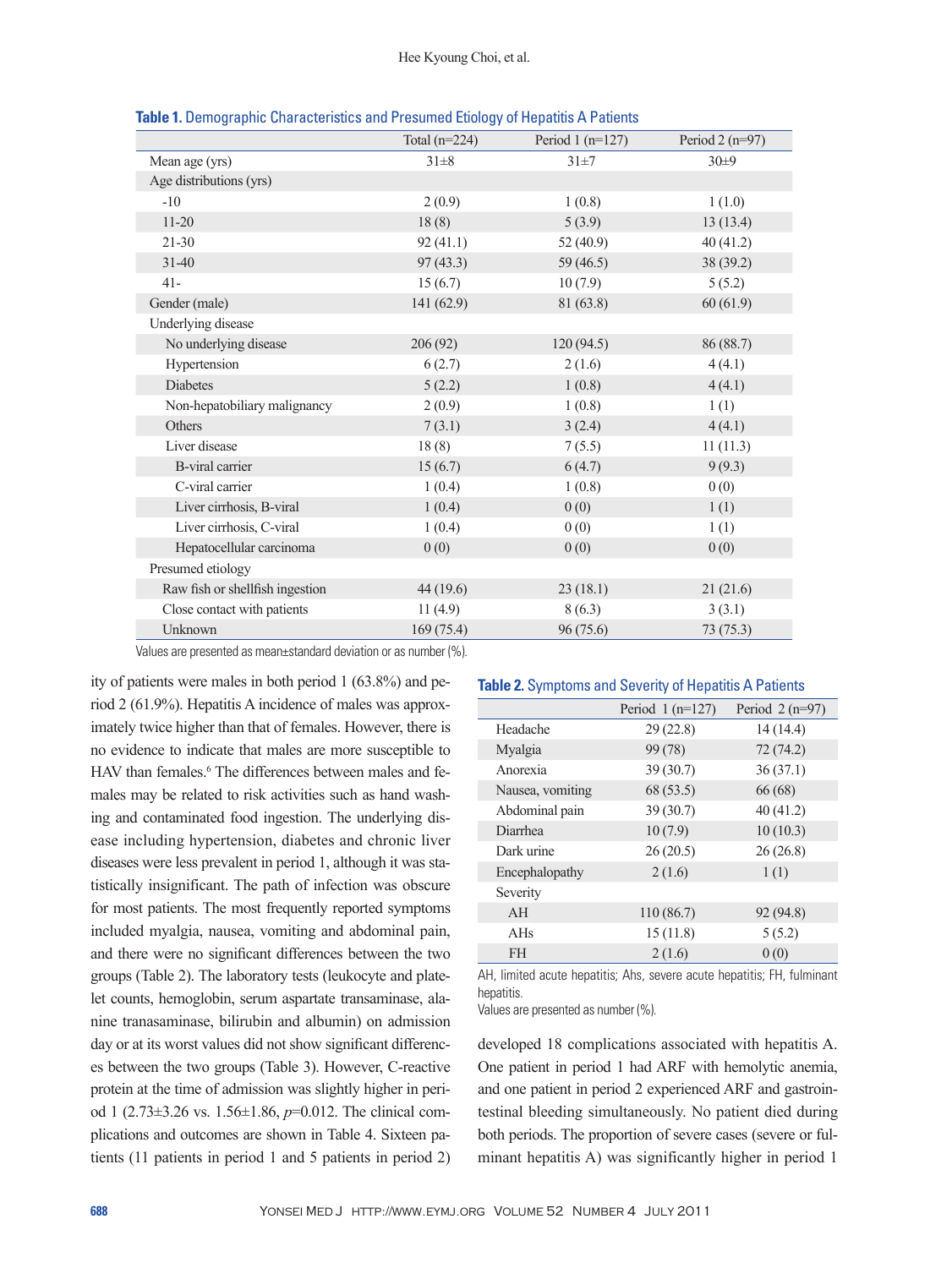|                                 | Total $(n=224)$ | Period $1$ (n=127) | Period $2(n=97)$ |
|---------------------------------|-----------------|--------------------|------------------|
| Mean age (yrs)                  | $31\pm8$        | $31\pm7$           | 30±9             |
| Age distributions (yrs)         |                 |                    |                  |
| $-10$                           | 2(0.9)          | 1(0.8)             | 1(1.0)           |
| $11 - 20$                       | 18(8)           | 5(3.9)             | 13(13.4)         |
| $21 - 30$                       | 92(41.1)        | 52 (40.9)          | 40(41.2)         |
| $31 - 40$                       | 97(43.3)        | 59 (46.5)          | 38 (39.2)        |
| $41 -$                          | 15(6.7)         | 10(7.9)            | 5(5.2)           |
| Gender (male)                   | 141(62.9)       | 81 (63.8)          | 60(61.9)         |
| Underlying disease              |                 |                    |                  |
| No underlying disease           | 206(92)         | 120(94.5)          | 86 (88.7)        |
| Hypertension                    | 6(2.7)          | 2(1.6)             | 4(4.1)           |
| <b>Diabetes</b>                 | 5(2.2)          | 1(0.8)             | 4(4.1)           |
| Non-hepatobiliary malignancy    | 2(0.9)          | 1(0.8)             | 1(1)             |
| Others                          | 7(3.1)          | 3(2.4)             | 4(4.1)           |
| Liver disease                   | 18(8)           | 7(5.5)             | 11(11.3)         |
| <b>B-viral carrier</b>          | 15(6.7)         | 6(4.7)             | 9(9.3)           |
| C-viral carrier                 | 1(0.4)          | 1(0.8)             | 0(0)             |
| Liver cirrhosis, B-viral        | 1(0.4)          | 0(0)               | 1(1)             |
| Liver cirrhosis, C-viral        | 1(0.4)          | 0(0)               | 1(1)             |
| Hepatocellular carcinoma        | 0(0)            | 0(0)               | 0(0)             |
| Presumed etiology               |                 |                    |                  |
| Raw fish or shellfish ingestion | 44 (19.6)       | 23(18.1)           | 21(21.6)         |
| Close contact with patients     | 11(4.9)         | 8(6.3)             | 3(3.1)           |
| Unknown                         | 169 (75.4)      | 96 (75.6)          | 73(75.3)         |

**Table 1.** Demographic Characteristics and Presumed Etiology of Hepatitis A Patients

Values are presented as mean±standard deviation or as number (%).

ity of patients were males in both period 1 (63.8%) and period 2 (61.9%). Hepatitis A incidence of males was approximately twice higher than that of females. However, there is no evidence to indicate that males are more susceptible to HAV than females.<sup>6</sup> The differences between males and females may be related to risk activities such as hand washing and contaminated food ingestion. The underlying disease including hypertension, diabetes and chronic liver diseases were less prevalent in period 1, although it was statistically insignificant. The path of infection was obscure for most patients. The most frequently reported symptoms included myalgia, nausea, vomiting and abdominal pain, and there were no significant differences between the two groups (Table 2). The laboratory tests (leukocyte and platelet counts, hemoglobin, serum aspartate transaminase, alanine tranasaminase, bilirubin and albumin) on admission day or at its worst values did not show significant differences between the two groups (Table 3). However, C-reactive protein at the time of admission was slightly higher in period 1 (2.73±3.26 vs. 1.56±1.86, *p*=0.012. The clinical complications and outcomes are shown in Table 4. Sixteen patients (11 patients in period 1 and 5 patients in period 2)

## **Table 2.** Symptoms and Severity of Hepatitis A Patients

|                  | Period $1(n=127)$ | Period $2(n=97)$ |
|------------------|-------------------|------------------|
| Headache         | 29(22.8)          | 14 (14.4)        |
| Myalgia          | 99 (78)           | 72(74.2)         |
| Anorexia         | 39(30.7)          | 36(37.1)         |
| Nausea, vomiting | 68 (53.5)         | 66(68)           |
| Abdominal pain   | 39(30.7)          | 40(41.2)         |
| Diarrhea         | 10(7.9)           | 10(10.3)         |
| Dark urine       | 26(20.5)          | 26(26.8)         |
| Encephalopathy   | 2(1.6)            | 1(1)             |
| Severity         |                   |                  |
| AH               | 110(86.7)         | 92 (94.8)        |
| $A$ Hs           | 15(11.8)          | 5(5.2)           |
| <b>FH</b>        | 2(1.6)            | 0(0)             |

AH, limited acute hepatitis; Ahs, severe acute hepatitis; FH, fulminant hepatitis.

Values are presented as number (%).

developed 18 complications associated with hepatitis A. One patient in period 1 had ARF with hemolytic anemia, and one patient in period 2 experienced ARF and gastrointestinal bleeding simultaneously. No patient died during both periods. The proportion of severe cases (severe or fulminant hepatitis A) was significantly higher in period 1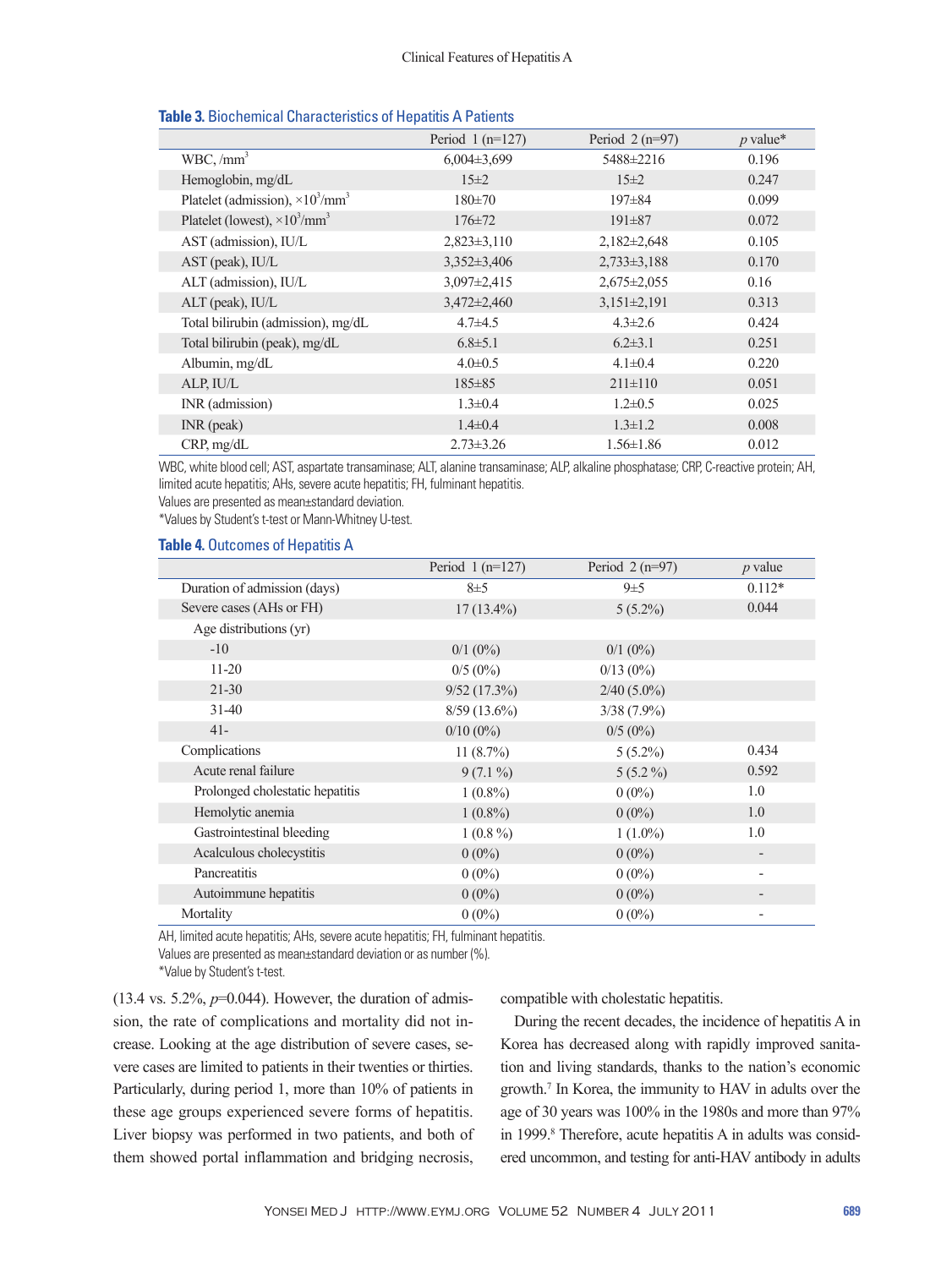|                                                 | Period $1(n=127)$ | Period $2(n=97)$  | $p$ value* |
|-------------------------------------------------|-------------------|-------------------|------------|
| WBC, /mm <sup>3</sup>                           | $6,004\pm3,699$   | 5488±2216         | 0.196      |
| Hemoglobin, mg/dL                               | $15\pm 2$         | $15\pm2$          | 0.247      |
| Platelet (admission), $\times 10^3/\text{mm}^3$ | $180 \pm 70$      | $197 \pm 84$      | 0.099      |
| Platelet (lowest), $\times 10^3/\text{mm}^3$    | $176 \pm 72$      | $191 \pm 87$      | 0.072      |
| AST (admission), IU/L                           | $2,823\pm3,110$   | $2,182 \pm 2,648$ | 0.105      |
| AST (peak), IU/L                                | $3,352 \pm 3,406$ | $2,733\pm3,188$   | 0.170      |
| ALT (admission), IU/L                           | $3,097 \pm 2,415$ | $2,675 \pm 2,055$ | 0.16       |
| ALT (peak), IU/L                                | $3,472 \pm 2,460$ | $3,151\pm2,191$   | 0.313      |
| Total bilirubin (admission), mg/dL              | $4.7 + 4.5$       | $4.3 \pm 2.6$     | 0.424      |
| Total bilirubin (peak), mg/dL                   | $6.8 \pm 5.1$     | $6.2 \pm 3.1$     | 0.251      |
| Albumin, mg/dL                                  | $4.0 \pm 0.5$     | $4.1 \pm 0.4$     | 0.220      |
| ALP, IU/L                                       | $185 \pm 85$      | $211 \pm 110$     | 0.051      |
| INR (admission)                                 | $1.3 \pm 0.4$     | $1.2 \pm 0.5$     | 0.025      |
| $INR$ (peak)                                    | $1.4 \pm 0.4$     | $1.3 \pm 1.2$     | 0.008      |
| CRP, mg/dL                                      | $2.73 \pm 3.26$   | $1.56 \pm 1.86$   | 0.012      |

## **Table 3.** Biochemical Characteristics of Hepatitis A Patients

WBC, white blood cell; AST, aspartate transaminase; ALT, alanine transaminase; ALP, alkaline phosphatase; CRP, C-reactive protein; AH, limited acute hepatitis; AHs, severe acute hepatitis; FH, fulminant hepatitis.

Values are presented as mean±standard deviation.

\*Values by Student's t-test or Mann-Whitney U-test.

## **Table 4.** Outcomes of Hepatitis A

|                                 | Period $1(n=127)$ | Period $2(n=97)$ | $p$ value                |
|---------------------------------|-------------------|------------------|--------------------------|
| Duration of admission (days)    | $8\pm5$           | $9\pm 5$         | $0.112*$                 |
| Severe cases (AHs or FH)        | $17(13.4\%)$      | $5(5.2\%)$       | 0.044                    |
| Age distributions (yr)          |                   |                  |                          |
| $-10$                           | $0/1$ (0%)        | $0/1$ (0%)       |                          |
| $11 - 20$                       | $0/5(0\%)$        | $0/13(0\%)$      |                          |
| $21 - 30$                       | 9/52(17.3%)       | $2/40(5.0\%)$    |                          |
| $31-40$                         | $8/59(13.6\%)$    | $3/38(7.9\%)$    |                          |
| $41 -$                          | $0/10(0\%)$       | $0/5(0\%)$       |                          |
| Complications                   | 11 $(8.7\%)$      | $5(5.2\%)$       | 0.434                    |
| Acute renal failure             | $9(7.1\%)$        | $5(5.2\%)$       | 0.592                    |
| Prolonged cholestatic hepatitis | $1(0.8\%)$        | $0(0\%)$         | 1.0                      |
| Hemolytic anemia                | $1(0.8\%)$        | $0(0\%)$         | 1.0                      |
| Gastrointestinal bleeding       | $1(0.8\%)$        | $1(1.0\%)$       | 1.0                      |
| Acalculous cholecystitis        | $0(0\%)$          | $0(0\%)$         |                          |
| <b>Pancreatitis</b>             | $0(0\%)$          | $0(0\%)$         | $\overline{\phantom{a}}$ |
| Autoimmune hepatitis            | $0(0\%)$          | $0(0\%)$         |                          |
| Mortality                       | $0(0\%)$          | $0(0\%)$         |                          |

AH, limited acute hepatitis; AHs, severe acute hepatitis; FH, fulminant hepatitis.

Values are presented as mean±standard deviation or as number (%).

\*Value by Student's t-test.

 $(13.4 \text{ vs. } 5.2\%, p=0.044)$ . However, the duration of admission, the rate of complications and mortality did not increase. Looking at the age distribution of severe cases, severe cases are limited to patients in their twenties or thirties. Particularly, during period 1, more than 10% of patients in these age groups experienced severe forms of hepatitis. Liver biopsy was performed in two patients, and both of them showed portal inflammation and bridging necrosis, compatible with cholestatic hepatitis.

During the recent decades, the incidence of hepatitis A in Korea has decreased along with rapidly improved sanitation and living standards, thanks to the nation's economic growth.7 In Korea, the immunity to HAV in adults over the age of 30 years was 100% in the 1980s and more than 97% in 1999.<sup>8</sup> Therefore, acute hepatitis A in adults was considered uncommon, and testing for anti-HAV antibody in adults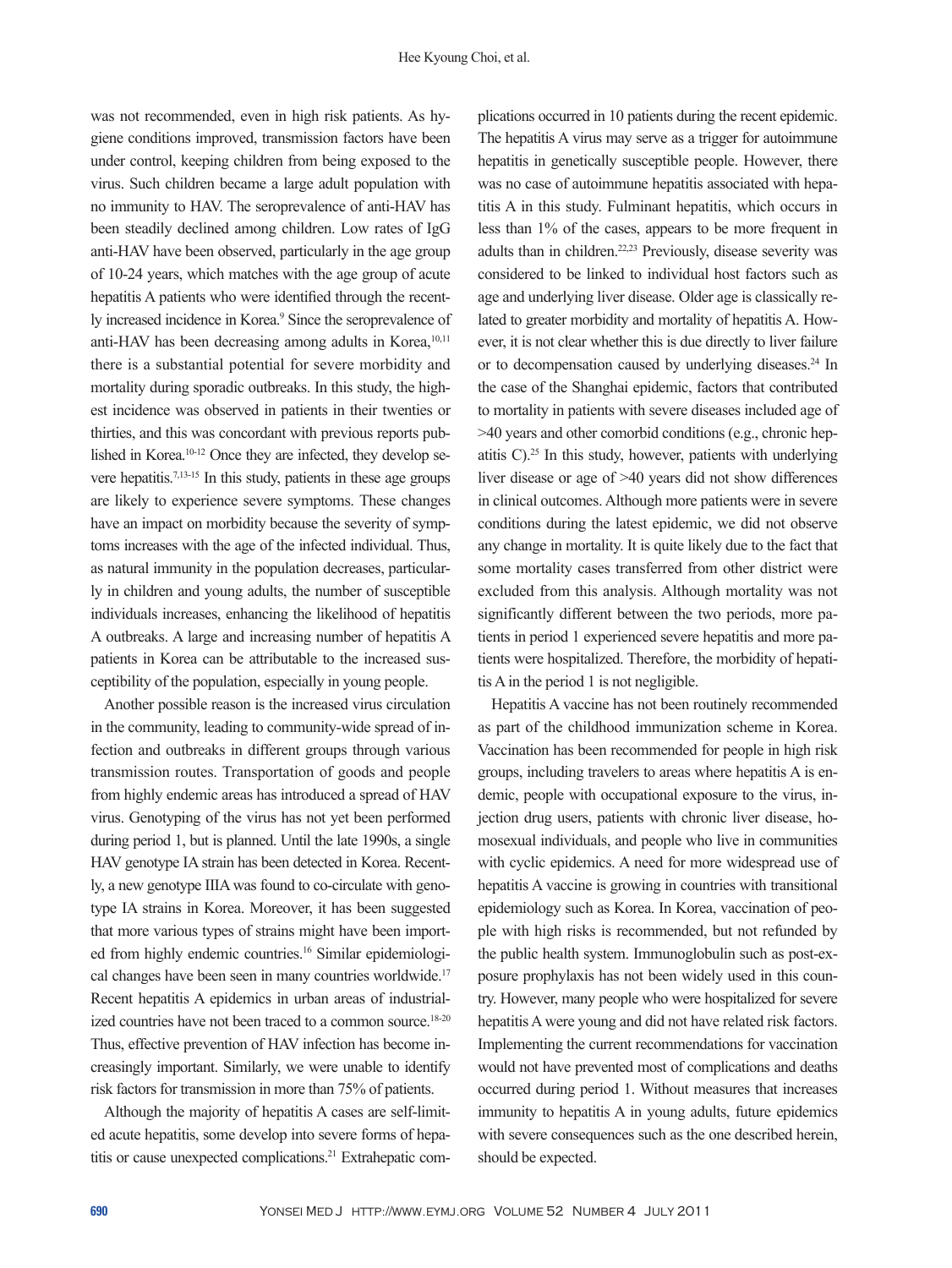was not recommended, even in high risk patients. As hygiene conditions improved, transmission factors have been under control, keeping children from being exposed to the virus. Such children became a large adult population with no immunity to HAV. The seroprevalence of anti-HAV has been steadily declined among children. Low rates of IgG anti-HAV have been observed, particularly in the age group of 10-24 years, which matches with the age group of acute hepatitis A patients who were identified through the recently increased incidence in Korea.<sup>9</sup> Since the seroprevalence of anti-HAV has been decreasing among adults in Korea,<sup>10,11</sup> there is a substantial potential for severe morbidity and mortality during sporadic outbreaks. In this study, the highest incidence was observed in patients in their twenties or thirties, and this was concordant with previous reports published in Korea.<sup>10-12</sup> Once they are infected, they develop severe hepatitis.7,13-15 In this study, patients in these age groups are likely to experience severe symptoms. These changes have an impact on morbidity because the severity of symptoms increases with the age of the infected individual. Thus, as natural immunity in the population decreases, particularly in children and young adults, the number of susceptible individuals increases, enhancing the likelihood of hepatitis A outbreaks. A large and increasing number of hepatitis A patients in Korea can be attributable to the increased susceptibility of the population, especially in young people.

Another possible reason is the increased virus circulation in the community, leading to community-wide spread of infection and outbreaks in different groups through various transmission routes. Transportation of goods and people from highly endemic areas has introduced a spread of HAV virus. Genotyping of the virus has not yet been performed during period 1, but is planned. Until the late 1990s, a single HAV genotype IA strain has been detected in Korea. Recently, a new genotype IIIA was found to co-circulate with genotype IA strains in Korea. Moreover, it has been suggested that more various types of strains might have been imported from highly endemic countries.16 Similar epidemiological changes have been seen in many countries worldwide.17 Recent hepatitis A epidemics in urban areas of industrialized countries have not been traced to a common source.<sup>18-20</sup> Thus, effective prevention of HAV infection has become increasingly important. Similarly, we were unable to identify risk factors for transmission in more than 75% of patients.

Although the majority of hepatitis A cases are self-limited acute hepatitis, some develop into severe forms of hepatitis or cause unexpected complications.<sup>21</sup> Extrahepatic complications occurred in 10 patients during the recent epidemic. The hepatitis A virus may serve as a trigger for autoimmune hepatitis in genetically susceptible people. However, there was no case of autoimmune hepatitis associated with hepatitis A in this study. Fulminant hepatitis, which occurs in less than 1% of the cases, appears to be more frequent in adults than in children.22,23 Previously, disease severity was considered to be linked to individual host factors such as age and underlying liver disease. Older age is classically related to greater morbidity and mortality of hepatitis A. However, it is not clear whether this is due directly to liver failure or to decompensation caused by underlying diseases.<sup>24</sup> In the case of the Shanghai epidemic, factors that contributed to mortality in patients with severe diseases included age of >40 years and other comorbid conditions (e.g., chronic hepatitis  $C$ ).<sup>25</sup> In this study, however, patients with underlying liver disease or age of >40 years did not show differences in clinical outcomes. Although more patients were in severe conditions during the latest epidemic, we did not observe any change in mortality. It is quite likely due to the fact that some mortality cases transferred from other district were excluded from this analysis. Although mortality was not significantly different between the two periods, more patients in period 1 experienced severe hepatitis and more patients were hospitalized. Therefore, the morbidity of hepatitis A in the period 1 is not negligible.

Hepatitis A vaccine has not been routinely recommended as part of the childhood immunization scheme in Korea. Vaccination has been recommended for people in high risk groups, including travelers to areas where hepatitis A is endemic, people with occupational exposure to the virus, injection drug users, patients with chronic liver disease, homosexual individuals, and people who live in communities with cyclic epidemics. A need for more widespread use of hepatitis A vaccine is growing in countries with transitional epidemiology such as Korea. In Korea, vaccination of people with high risks is recommended, but not refunded by the public health system. Immunoglobulin such as post-exposure prophylaxis has not been widely used in this country. However, many people who were hospitalized for severe hepatitis A were young and did not have related risk factors. Implementing the current recommendations for vaccination would not have prevented most of complications and deaths occurred during period 1. Without measures that increases immunity to hepatitis A in young adults, future epidemics with severe consequences such as the one described herein, should be expected.